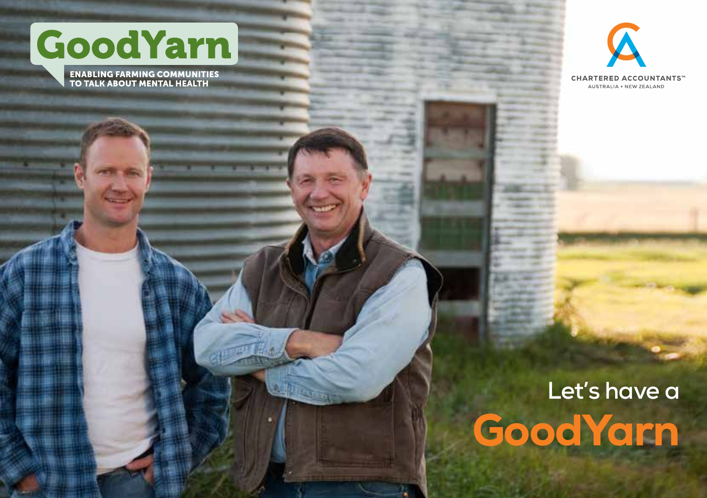

**ENABLING FARMING COMMUNITIES<br>TO TALK ABOUT MENTAL HEALTH** 



# **Let's have a GoodYarn**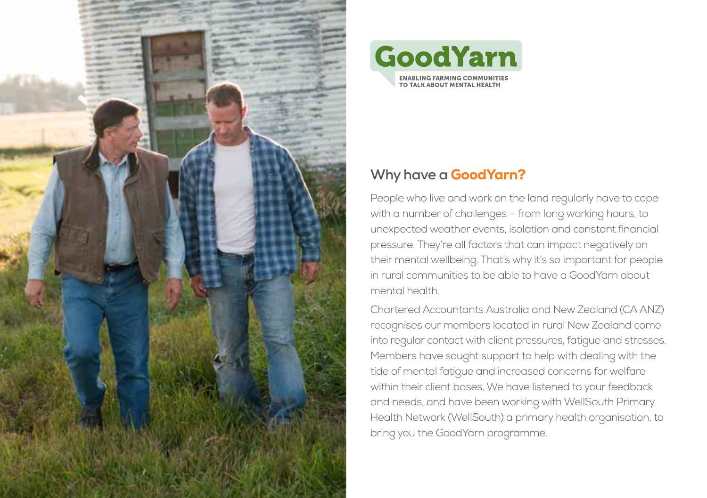



### **Why have a** GoodYarn?

People who live and work on the land regularly have to cope with a number of challenges – from long working hours, to unexpected weather events, isolation and constant financial pressure. They're all factors that can impact negatively on their mental wellbeing. That's why it's so important for people in rural communities to be able to have a GoodYarn about mental health.

Chartered Accountants Australia and New Zealand (CA ANZ) recognises our members located in rural New Zealand come into regular contact with client pressures, fatigue and stresses. Members have sought support to help with dealing with the tide of mental fatigue and increased concerns for welfare within their client bases. We have listened to your feedback and needs, and have been working with WellSouth Primary Health Network (WellSouth) a primary health organisation, to bring you the GoodYarn programme.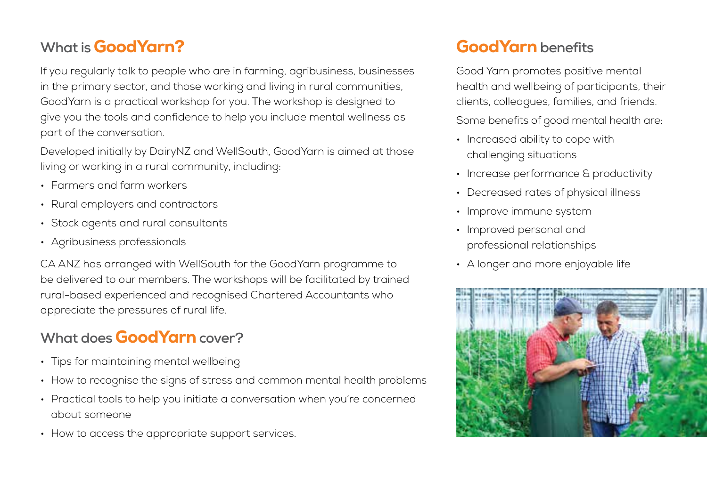# **What is** GoodYarn?

If you regularly talk to people who are in farming, agribusiness, businesses in the primary sector, and those working and living in rural communities, GoodYarn is a practical workshop for you. The workshop is designed to give you the tools and confidence to help you include mental wellness as part of the conversation.

Developed initially by DairyNZ and WellSouth, GoodYarn is aimed at those living or working in a rural community, including:

- Farmers and farm workers
- Rural employers and contractors
- Stock agents and rural consultants
- Agribusiness professionals

CA ANZ has arranged with WellSouth for the GoodYarn programme to be delivered to our members. The workshops will be facilitated by trained rural-based experienced and recognised Chartered Accountants who appreciate the pressures of rural life.

## **What does** GoodYarn**cover?**

- Tips for maintaining mental wellbeing
- How to recognise the signs of stress and common mental health problems
- Practical tools to help you initiate a conversation when you're concerned about someone
- How to access the appropriate support services.

# GoodYarn **benefits**

Good Yarn promotes positive mental health and wellbeing of participants, their clients, colleagues, families, and friends. Some benefits of good mental health are:

- Increased ability to cope with challenging situations
- Increase performance & productivity
- Decreased rates of physical illness
- Improve immune system
- Improved personal and professional relationships
- A longer and more enjoyable life